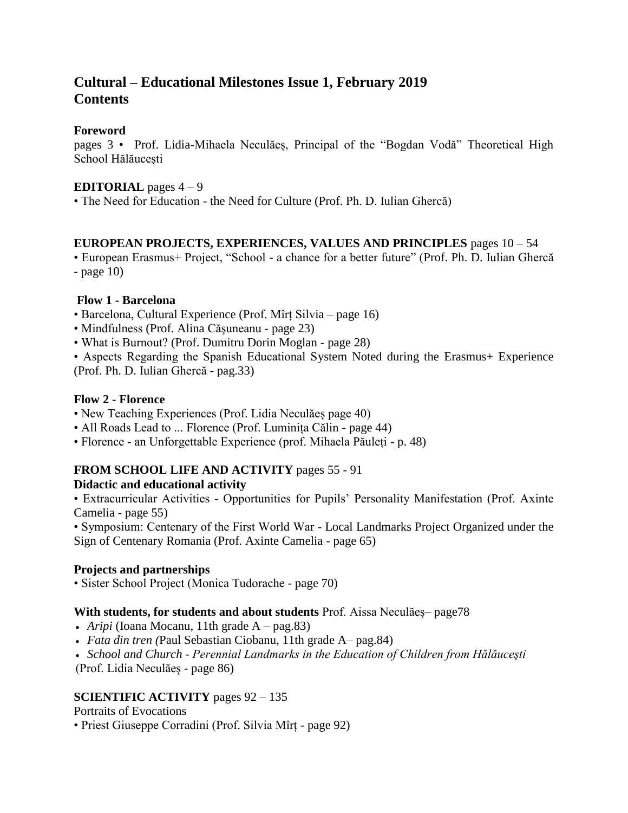# **Cultural – Educational Milestones Issue 1, February 2019 Contents**

#### **Foreword**

pages 3 • Prof. Lidia-Mihaela Neculăeș, Principal of the "Bogdan Vodă" Theoretical High School Hălăucești

#### **EDITORIAL** pages  $4-9$

• The Need for Education - the Need for Culture (Prof. Ph. D. Iulian Ghercă)

### **EUROPEAN PROJECTS, EXPERIENCES, VALUES AND PRINCIPLES** pages 10 – 54

• European Erasmus+ Project, "School - a chance for a better future" (Prof. Ph. D. Iulian Ghercă  $-page 10$ 

### **Flow 1 - Barcelona**

- Barcelona, Cultural Experience (Prof. Mîrț Silvia page 16)
- Mindfulness (Prof. Alina Căşuneanu page 23)
- What is Burnout? (Prof. Dumitru Dorin Moglan page 28)

• Aspects Regarding the Spanish Educational System Noted during the Erasmus+ Experience (Prof. Ph. D. Iulian Ghercă - pag.33)

### **Flow 2 - Florence**

- New Teaching Experiences (Prof. Lidia Neculăes page 40)
- All Roads Lead to ... Florence (Prof. Luminița Călin page 44)
- Florence an Unforgettable Experience (prof. Mihaela Păuleți p. 48)

# **FROM SCHOOL LIFE AND ACTIVITY** pages 55 - 91

# **Didactic and educational activity**

• Extracurricular Activities - Opportunities for Pupils' Personality Manifestation (Prof. Axinte Camelia - page 55)

• Symposium: Centenary of the First World War - Local Landmarks Project Organized under the Sign of Centenary Romania (Prof. Axinte Camelia - page 65)

# **Projects and partnerships**

• Sister School Project (Monica Tudorache - page 70)

#### **With students, for students and about students** Prof. Aissa Neculăeș– page78

- *Aripi* (Ioana Mocanu, 11th grade A pag.83)
- *Fata din tren (*Paul Sebastian Ciobanu, 11th grade A– pag.84)
- *School and Church - Perennial Landmarks in the Education of Children from Hălăuceşti*

(Prof. Lidia Neculăeș - page 86)

# **SCIENTIFIC ACTIVITY** pages 92 – 135

Portraits of Evocations

• Priest Giuseppe Corradini (Prof. Silvia Mîrț - page 92)